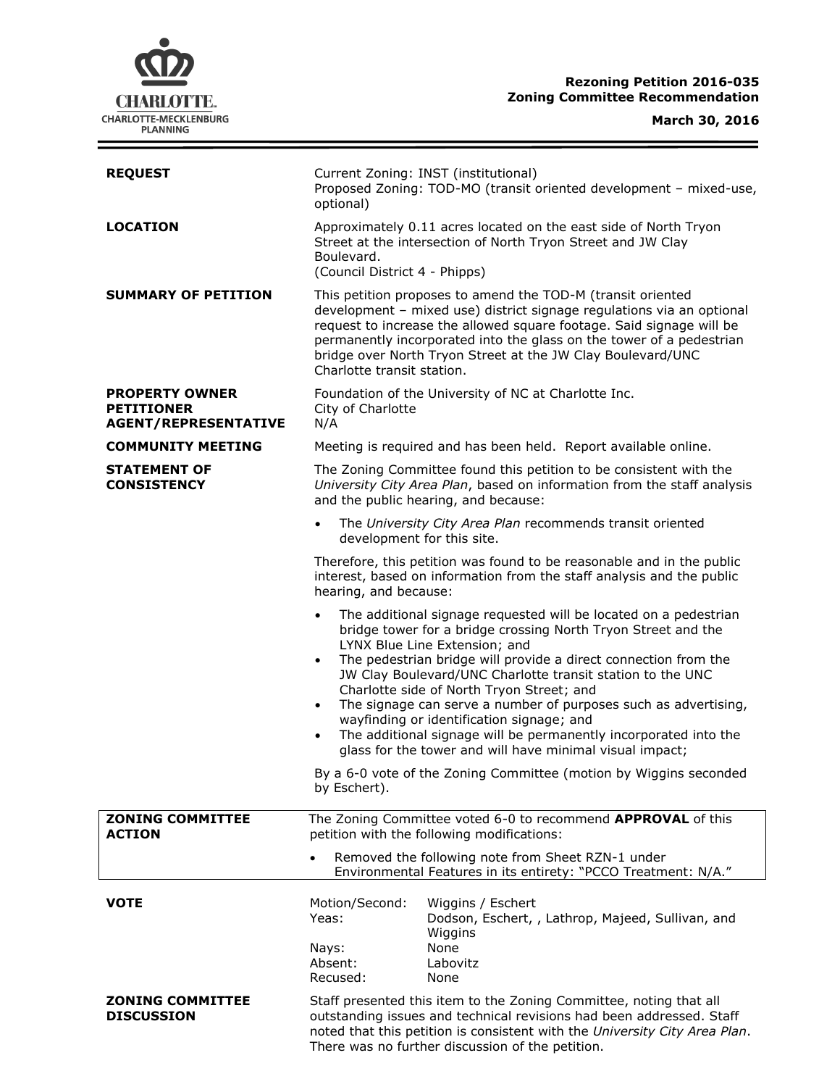# **Rezoning Petition 2016-035 Zoning Committee Recommendation**

**CHARLOTTE.** CHARLOTTE-MECKLENBURG<br>PLANNING

**March 30, 2016**

 $\equiv$ 

| <b>REQUEST</b>                                                            | Current Zoning: INST (institutional)<br>Proposed Zoning: TOD-MO (transit oriented development - mixed-use,<br>optional)                                                                                                                                                                                                                                                                                                                                                                                                                                                                                       |
|---------------------------------------------------------------------------|---------------------------------------------------------------------------------------------------------------------------------------------------------------------------------------------------------------------------------------------------------------------------------------------------------------------------------------------------------------------------------------------------------------------------------------------------------------------------------------------------------------------------------------------------------------------------------------------------------------|
| <b>LOCATION</b>                                                           | Approximately 0.11 acres located on the east side of North Tryon<br>Street at the intersection of North Tryon Street and JW Clay<br>Boulevard.<br>(Council District 4 - Phipps)                                                                                                                                                                                                                                                                                                                                                                                                                               |
| <b>SUMMARY OF PETITION</b>                                                | This petition proposes to amend the TOD-M (transit oriented<br>development - mixed use) district signage regulations via an optional<br>request to increase the allowed square footage. Said signage will be<br>permanently incorporated into the glass on the tower of a pedestrian<br>bridge over North Tryon Street at the JW Clay Boulevard/UNC<br>Charlotte transit station.                                                                                                                                                                                                                             |
| <b>PROPERTY OWNER</b><br><b>PETITIONER</b><br><b>AGENT/REPRESENTATIVE</b> | Foundation of the University of NC at Charlotte Inc.<br>City of Charlotte<br>N/A                                                                                                                                                                                                                                                                                                                                                                                                                                                                                                                              |
| <b>COMMUNITY MEETING</b>                                                  | Meeting is required and has been held. Report available online.                                                                                                                                                                                                                                                                                                                                                                                                                                                                                                                                               |
| <b>STATEMENT OF</b><br><b>CONSISTENCY</b>                                 | The Zoning Committee found this petition to be consistent with the<br>University City Area Plan, based on information from the staff analysis<br>and the public hearing, and because:                                                                                                                                                                                                                                                                                                                                                                                                                         |
|                                                                           | The University City Area Plan recommends transit oriented<br>development for this site.                                                                                                                                                                                                                                                                                                                                                                                                                                                                                                                       |
|                                                                           | Therefore, this petition was found to be reasonable and in the public<br>interest, based on information from the staff analysis and the public<br>hearing, and because:                                                                                                                                                                                                                                                                                                                                                                                                                                       |
|                                                                           | The additional signage requested will be located on a pedestrian<br>bridge tower for a bridge crossing North Tryon Street and the<br>LYNX Blue Line Extension; and<br>The pedestrian bridge will provide a direct connection from the<br>JW Clay Boulevard/UNC Charlotte transit station to the UNC<br>Charlotte side of North Tryon Street; and<br>The signage can serve a number of purposes such as advertising,<br>$\bullet$<br>wayfinding or identification signage; and<br>The additional signage will be permanently incorporated into the<br>glass for the tower and will have minimal visual impact; |
|                                                                           | By a 6-0 vote of the Zoning Committee (motion by Wiggins seconded<br>by Eschert).                                                                                                                                                                                                                                                                                                                                                                                                                                                                                                                             |
| <b>ZONING COMMITTEE</b><br><b>ACTION</b>                                  | The Zoning Committee voted 6-0 to recommend APPROVAL of this<br>petition with the following modifications:                                                                                                                                                                                                                                                                                                                                                                                                                                                                                                    |
|                                                                           | Removed the following note from Sheet RZN-1 under<br>Environmental Features in its entirety: "PCCO Treatment: N/A."                                                                                                                                                                                                                                                                                                                                                                                                                                                                                           |
| <b>VOTE</b>                                                               | Motion/Second:<br>Wiggins / Eschert<br>Yeas:<br>Dodson, Eschert, , Lathrop, Majeed, Sullivan, and<br>Wiggins<br>None<br>Nays:<br>Absent:<br>Labovitz<br>Recused:                                                                                                                                                                                                                                                                                                                                                                                                                                              |
| <b>ZONING COMMITTEE</b><br><b>DISCUSSION</b>                              | None<br>Staff presented this item to the Zoning Committee, noting that all<br>outstanding issues and technical revisions had been addressed. Staff<br>noted that this petition is consistent with the University City Area Plan.<br>There was no further discussion of the petition.                                                                                                                                                                                                                                                                                                                          |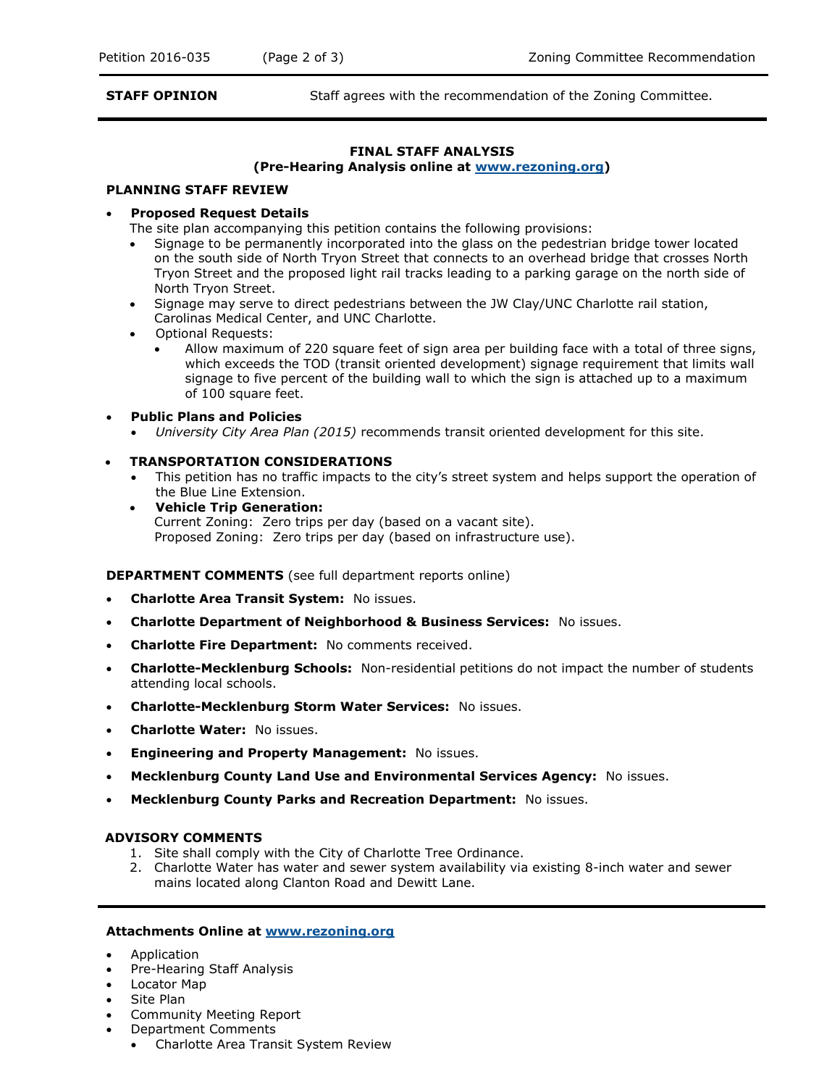**STAFF OPINION** Staff agrees with the recommendation of the Zoning Committee.

# **FINAL STAFF ANALYSIS**

#### **(Pre-Hearing Analysis online at [www.rezoning.org\)](http://www.rezoning.org/)**

#### **PLANNING STAFF REVIEW**

## **Proposed Request Details**

The site plan accompanying this petition contains the following provisions:

- Signage to be permanently incorporated into the glass on the pedestrian bridge tower located on the south side of North Tryon Street that connects to an overhead bridge that crosses North Tryon Street and the proposed light rail tracks leading to a parking garage on the north side of North Tryon Street.
- Signage may serve to direct pedestrians between the JW Clay/UNC Charlotte rail station, Carolinas Medical Center, and UNC Charlotte.
- Optional Requests:
	- Allow maximum of 220 square feet of sign area per building face with a total of three signs, which exceeds the TOD (transit oriented development) signage requirement that limits wall signage to five percent of the building wall to which the sign is attached up to a maximum of 100 square feet.

## **Public Plans and Policies**

*University City Area Plan (2015)* recommends transit oriented development for this site.

## **TRANSPORTATION CONSIDERATIONS**

- This petition has no traffic impacts to the city's street system and helps support the operation of the Blue Line Extension.
- **Vehicle Trip Generation:** Current Zoning: Zero trips per day (based on a vacant site). Proposed Zoning: Zero trips per day (based on infrastructure use).

**DEPARTMENT COMMENTS** (see full department reports online)

- **Charlotte Area Transit System:** No issues.
- **Charlotte Department of Neighborhood & Business Services:** No issues.
- **Charlotte Fire Department:** No comments received.
- **Charlotte-Mecklenburg Schools:** Non-residential petitions do not impact the number of students attending local schools.
- **Charlotte-Mecklenburg Storm Water Services:** No issues.
- **Charlotte Water:** No issues.
- **Engineering and Property Management:** No issues.
- **Mecklenburg County Land Use and Environmental Services Agency:** No issues.
- **Mecklenburg County Parks and Recreation Department:** No issues.

## **ADVISORY COMMENTS**

- 1. Site shall comply with the City of Charlotte Tree Ordinance.
- 2. Charlotte Water has water and sewer system availability via existing 8-inch water and sewer mains located along Clanton Road and Dewitt Lane.

#### **Attachments Online at [www.rezoning.org](http://www.rezoning.org/)**

- Application
- Pre-Hearing Staff Analysis
- Locator Map
- Site Plan
- Community Meeting Report
- Department Comments
	- Charlotte Area Transit System Review